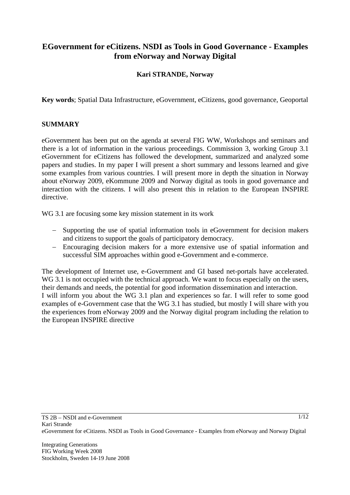# **EGovernment for eCitizens. NSDI as Tools in Good Governance - Examples from eNorway and Norway Digital**

### **Kari STRANDE, Norway**

**Key words**; Spatial Data Infrastructure, eGovernment, eCitizens, good governance, Geoportal

#### **SUMMARY**

eGovernment has been put on the agenda at several FIG WW, Workshops and seminars and there is a lot of information in the various proceedings. Commission 3, working Group 3.1 eGovernment for eCitizens has followed the development, summarized and analyzed some papers and studies. In my paper I will present a short summary and lessons learned and give some examples from various countries. I will present more in depth the situation in Norway about eNorway 2009, eKommune 2009 and Norway digital as tools in good governance and interaction with the citizens. I will also present this in relation to the European INSPIRE directive.

WG 3.1 are focusing some key mission statement in its work

- − Supporting the use of spatial information tools in eGovernment for decision makers and citizens to support the goals of participatory democracy.
- − Encouraging decision makers for a more extensive use of spatial information and successful SIM approaches within good e-Government and e-commerce.

The development of Internet use, e-Government and GI based net-portals have accelerated. WG 3.1 is not occupied with the technical approach. We want to focus especially on the users, their demands and needs, the potential for good information dissemination and interaction. I will inform you about the WG 3.1 plan and experiences so far. I will refer to some good examples of e-Government case that the WG 3.1 has studied, but mostly I will share with you the experiences from eNorway 2009 and the Norway digital program including the relation to the European INSPIRE directive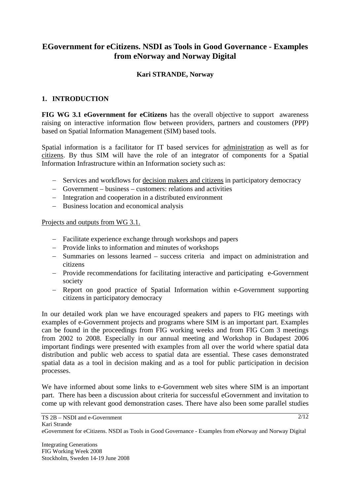# **EGovernment for eCitizens. NSDI as Tools in Good Governance - Examples from eNorway and Norway Digital**

### **Kari STRANDE, Norway**

### **1. INTRODUCTION**

**FIG WG 3.1 eGovernment for eCitizens** has the overall objective to support awareness raising on interactive information flow between providers, partners and coustomers (PPP) based on Spatial Information Management (SIM) based tools.

Spatial information is a facilitator for IT based services for administration as well as for citizens. By thus SIM will have the role of an integrator of components for a Spatial Information Infrastructure within an Information society such as:

- − Services and workflows for decision makers and citizens in participatory democracy
- − Government business customers: relations and activities
- − Integration and cooperation in a distributed environment
- − Business location and economical analysis

Projects and outputs from WG 3.1.

- − Facilitate experience exchange through workshops and papers
- − Provide links to information and minutes of workshops
- − Summaries on lessons learned success criteria and impact on administration and citizens
- − Provide recommendations for facilitating interactive and participating e-Government society
- − Report on good practice of Spatial Information within e-Government supporting citizens in participatory democracy

In our detailed work plan we have encouraged speakers and papers to FIG meetings with examples of e-Government projects and programs where SIM is an important part. Examples can be found in the proceedings from FIG working weeks and from FIG Com 3 meetings from 2002 to 2008. Especially in our annual meeting and Workshop in Budapest 2006 important findings were presented with examples from all over the world where spatial data distribution and public web access to spatial data are essential. These cases demonstrated spatial data as a tool in decision making and as a tool for public participation in decision processes.

We have informed about some links to e-Government web sites where SIM is an important part. There has been a discussion about criteria for successful eGovernment and invitation to come up with relevant good demonstration cases. There have also been some parallel studies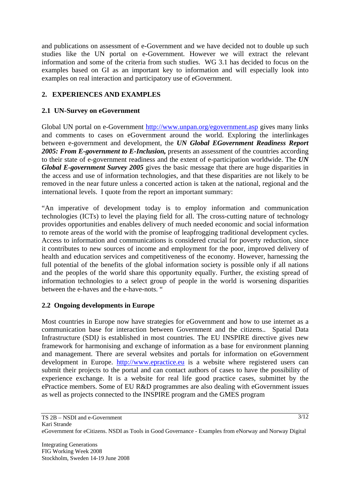and publications on assessment of e-Government and we have decided not to double up such studies like the UN portal on e-Government. However we will extract the relevant information and some of the criteria from such studies. WG 3.1 has decided to focus on the examples based on GI as an important key to information and will especially look into examples on real interaction and participatory use of eGovernment.

## **2. EXPERIENCES AND EXAMPLES**

### **2.1 UN-Survey on eGovernment**

Global UN portal on e-Government http://www.unpan.org/egovernment.asp gives many links and comments to cases on eGovernment around the world. Exploring the interlinkages between e-government and development, the *UN Global EGovernment Readiness Report*  2005: From E-government to E-Inclusion, presents an assessment of the countries according to their state of e-government readiness and the extent of e-participation worldwide. The *UN Global E-government Survey 2005* gives the basic message that there are huge disparities in the access and use of information technologies, and that these disparities are not likely to be removed in the near future unless a concerted action is taken at the national, regional and the international levels. I quote from the report an important summary:

"An imperative of development today is to employ information and communication technologies (ICTs) to level the playing field for all. The cross-cutting nature of technology provides opportunities and enables delivery of much needed economic and social information to remote areas of the world with the promise of leapfrogging traditional development cycles. Access to information and communications is considered crucial for poverty reduction, since it contributes to new sources of income and employment for the poor, improved delivery of health and education services and competitiveness of the economy. However, harnessing the full potential of the benefits of the global information society is possible only if all nations and the peoples of the world share this opportunity equally. Further, the existing spread of information technologies to a select group of people in the world is worsening disparities between the e-haves and the e-have-nots. "

### **2.2 Ongoing developments in Europe**

Most countries in Europe now have strategies for eGovernment and how to use internet as a communication base for interaction between Government and the citizens.. Spatial Data Infrastructure (SDI*)* is established in most countries. The EU INSPIRE directive gives new framework for harmonising and exchange of information as a base for environment planning and management. There are several websites and portals for information on eGovernment development in Europe. http://www.epractice.eu is a website where registered users can submit their projects to the portal and can contact authors of cases to have the possibility of experience exchange. It is a website for real life good practice cases, submittet by the ePractice members. Some of EU R&D programmes are also dealing with eGovernment issues as well as projects connected to the INSPIRE program and the GMES program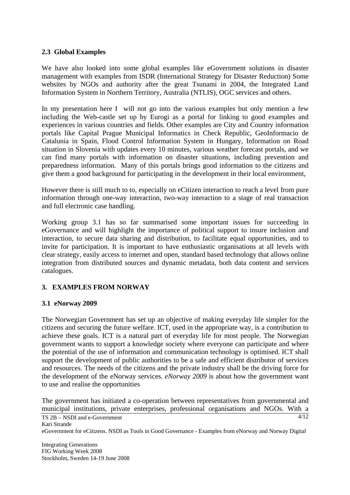### **2.3 Global Examples**

We have also looked into some global examples like eGovernment solutions in disaster management with examples from ISDR (International Strategy for Disaster Reduction) Some websites by NGOs and authority after the great Tsunami in 2004, the Integrated Land Information System in Northern Territory, Australia (NTLIS), OGC services and others.

In my presentation here I will not go into the various examples but only mention a few including the Web-castle set up by Eurogi as a portal for linking to good examples and experiences in various countries and fields. Other examples are City and Country information portals like Capital Prague Municipal Informatics in Check Republic, GeoInformacio de Catalunia in Spain, Flood Control Information System in Hungary, Information on Road situation in Slovenia with updates every 10 minutes, various weather forecast portals, and we can find many portals with information on disaster situations, including prevention and preparedness information. Many of this portals brings good information to the citizens and give them a good background for participating in the development in their local environment,

However there is still much to to, especially on eCitizen interaction to reach a level from pure information through one-way interaction, two-way interaction to a stage of real transaction and full electronic case handling.

Working group 3.1 has so far summarised some important issues for succeeding in eGovernance and will highlight the importance of political support to insure inclusion and interaction, to secure data sharing and distribution, to facilitate equal opportunities, and to invite for participation. It is important to have enthusiastic organisations at all levels with clear strategy, easily access to internet and open, standard based technology that allows online integration from distributed sources and dynamic metadata, both data content and services catalogues.

## **3. EXAMPLES FROM NORWAY**

### **3.1 eNorway 2009**

The Norwegian Government has set up an objective of making everyday life simpler for the citizens and securing the future welfare. ICT, used in the appropriate way, is a contribution to achieve these goals. ICT is a natural part of everyday life for most people. The Norwegian government wants to support a knowledge society where everyone can participate and where the potential of the use of information and communication technology is optimised. ICT shall support the development of public authorities to be a safe and efficient distributor of services and resources. The needs of the citizens and the private industry shall be the driving force for the development of the eNorway services. *eNorway 2009* is about how the government want to use and realise the opportunities

The government has initiated a co-operation between representatives from governmental and municipal institutions, private enterprises, professional organisations and NGOs. With a

TS 2B – NSDI and e-Government Kari Strande eGovernment for eCitizens. NSDI as Tools in Good Governance - Examples from eNorway and Norway Digital  $\overline{A/12}$ 

Integrating Generations FIG Working Week 2008 Stockholm, Sweden 14-19 June 2008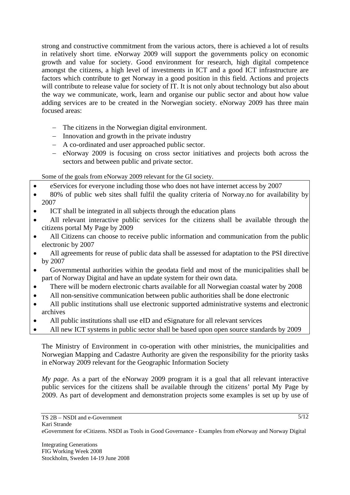strong and constructive commitment from the various actors, there is achieved a lot of results in relatively short time. eNorway 2009 will support the governments policy on economic growth and value for society. Good environment for research, high digital competence amongst the citizens, a high level of investments in ICT and a good ICT infrastructure are factors which contribute to get Norway in a good position in this field. Actions and projects will contribute to release value for society of IT. It is not only about technology but also about the way we communicate, work, learn and organise our public sector and about how value adding services are to be created in the Norwegian society. eNorway 2009 has three main focused areas:

- − The citizens in the Norwegian digital environment.
- − Innovation and growth in the private industry
- − A co-ordinated and user approached public sector.
- − eNorway 2009 is focusing on cross sector initiatives and projects both across the sectors and between public and private sector.

Some of the goals from eNorway 2009 relevant for the GI society.

- eServices for everyone including those who does not have internet access by 2007
- 80% of public web sites shall fulfil the quality criteria of Norway.no for availability by 2007
- ICT shall be integrated in all subjects through the education plans
- All relevant interactive public services for the citizens shall be available through the citizens portal My Page by 2009
- All Citizens can choose to receive public information and communication from the public electronic by 2007
- All agreements for reuse of public data shall be assessed for adaptation to the PSI directive by 2007
- Governmental authorities within the geodata field and most of the municipalities shall be part of Norway Digital and have an update system for their own data.
- There will be modern electronic charts available for all Norwegian coastal water by 2008
- All non-sensitive communication between public authorities shall be done electronic
- All public institutions shall use electronic supported administrative systems and electronic archives
- All public institutions shall use eID and eSignature for all relevant services
- All new ICT systems in public sector shall be based upon open source standards by 2009

The Ministry of Environment in co-operation with other ministries, the municipalities and Norwegian Mapping and Cadastre Authority are given the responsibility for the priority tasks in eNorway 2009 relevant for the Geographic Information Society

*My page.* As a part of the eNorway 2009 program it is a goal that all relevant interactive public services for the citizens shall be available through the citizens' portal My Page by 2009. As part of development and demonstration projects some examples is set up by use of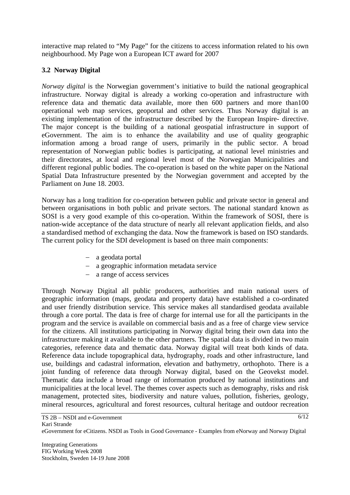interactive map related to "My Page" for the citizens to access information related to his own neighbourhood. My Page won a European ICT award for 2007

## **3.2 Norway Digital**

*Norway digital* is the Norwegian government's initiative to build the national geographical infrastructure. Norway digital is already a working co-operation and infrastructure with reference data and thematic data available, more then 600 partners and more than100 operational web map services, geoportal and other services. Thus Norway digital is an existing implementation of the infrastructure described by the European Inspire- directive. The major concept is the building of a national geospatial infrastructure in support of eGovernment. The aim is to enhance the availability and use of quality geographic information among a broad range of users, primarily in the public sector. A broad representation of Norwegian public bodies is participating, at national level ministries and their directorates, at local and regional level most of the Norwegian Municipalities and different regional public bodies. The co-operation is based on the white paper on the National Spatial Data Infrastructure presented by the Norwegian government and accepted by the Parliament on June 18. 2003.

Norway has a long tradition for co-operation between public and private sector in general and between organisations in both public and private sectors. The national standard known as SOSI is a very good example of this co-operation. Within the framework of SOSI, there is nation-wide acceptance of the data structure of nearly all relevant application fields, and also a standardised method of exchanging the data. Now the framework is based on ISO standards. The current policy for the SDI development is based on three main components:

- − a geodata portal
- − a geographic information metadata service
- − a range of access services

Through Norway Digital all public producers, authorities and main national users of geographic information (maps, geodata and property data) have established a co-ordinated and user friendly distribution service. This service makes all standardised geodata available through a core portal. The data is free of charge for internal use for all the participants in the program and the service is available on commercial basis and as a free of charge view service for the citizens. All institutions participating in Norway digital bring their own data into the infrastructure making it available to the other partners. The spatial data is divided in two main categories, reference data and thematic data. Norway digital will treat both kinds of data. Reference data include topographical data, hydrography, roads and other infrastructure, land use, buildings and cadastral information, elevation and bathymetry, orthophoto. There is a joint funding of reference data through Norway digital, based on the Geovekst model. Thematic data include a broad range of information produced by national institutions and municipalities at the local level. The themes cover aspects such as demography, risks and risk management, protected sites, biodiversity and nature values, pollution, fisheries, geology, mineral resources, agricultural and forest resources, cultural heritage and outdoor recreation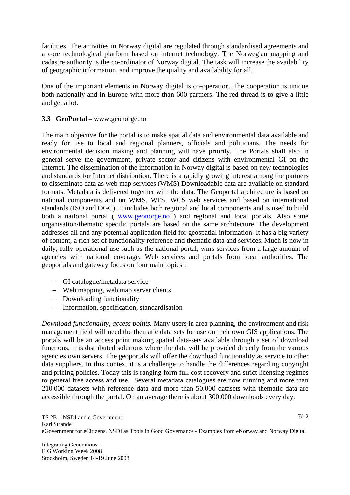facilities. The activities in Norway digital are regulated through standardised agreements and a core technological platform based on internet technology. The Norwegian mapping and cadastre authority is the co-ordinator of Norway digital. The task will increase the availability of geographic information, and improve the quality and availability for all.

One of the important elements in Norway digital is co-operation. The cooperation is unique both nationally and in Europe with more than 600 partners. The red thread is to give a little and get a lot.

### **3.3 GeoPortal –** www.geonorge.no

The main objective for the portal is to make spatial data and environmental data available and ready for use to local and regional planners, officials and politicians. The needs for environmental decision making and planning will have priority. The Portals shall also in general serve the government, private sector and citizens with environmental GI on the Internet. The dissemination of the information in Norway digital is based on new technologies and standards for Internet distribution. There is a rapidly growing interest among the partners to disseminate data as web map services.(WMS) Downloadable data are available on standard formats. Metadata is delivered together with the data. The Geoportal architecture is based on national components and on WMS, WFS, WCS web services and based on international standards (ISO and OGC). It includes both regional and local components and is used to build both a national portal ( www.geonorge.no) and regional and local portals. Also some organisation/thematic specific portals are based on the same architecture. The development addresses all and any potential application field for geospatial information. It has a big variety of content, a rich set of functionality reference and thematic data and services. Much is now in daily, fully operational use such as the national portal, wms services from a large amount of agencies with national coverage, Web services and portals from local authorities. The geoportals and gateway focus on four main topics :

- − GI catalogue/metadata service
- − Web mapping, web map server clients
- − Downloading functionality
- − Information, specification, standardisation

*Download functionality, access points.* Many users in area planning, the environment and risk management field will need the thematic data sets for use on their own GIS applications. The portals will be an access point making spatial data-sets available through a set of download functions. It is distributed solutions where the data will be provided directly from the various agencies own servers. The geoportals will offer the download functionality as service to other data suppliers. In this context it is a challenge to handle the differences regarding copyright and pricing policies. Today this is ranging form full cost recovery and strict licensing regimes to general free access and use. Several metadata catalogues are now running and more than 210.000 datasets with reference data and more than 50.000 datasets with thematic data are accessible through the portal. On an average there is about 300.000 downloads every day.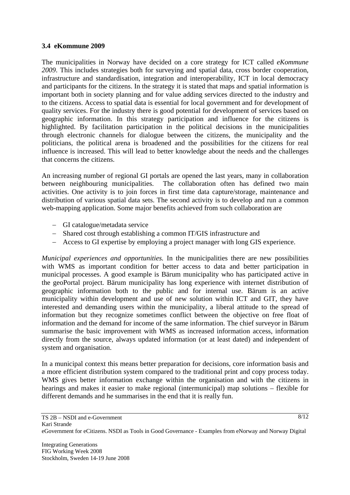#### **3.4 eKommune 2009**

The municipalities in Norway have decided on a core strategy for ICT called *eKommune 2009*. This includes strategies both for surveying and spatial data, cross border cooperation, infrastructure and standardisation, integration and interoperability, ICT in local democracy and participants for the citizens. In the strategy it is stated that maps and spatial information is important both in society planning and for value adding services directed to the industry and to the citizens. Access to spatial data is essential for local government and for development of quality services. For the industry there is good potential for development of services based on geographic information. In this strategy participation and influence for the citizens is highlighted. By facilitation participation in the political decisions in the municipalities through electronic channels for dialogue between the citizens, the municipality and the politicians, the political arena is broadened and the possibilities for the citizens for real influence is increased. This will lead to better knowledge about the needs and the challenges that concerns the citizens.

An increasing number of regional GI portals are opened the last years, many in collaboration between neighbouring municipalities. The collaboration often has defined two main activities. One activity is to join forces in first time data capture/storage, maintenance and distribution of various spatial data sets. The second activity is to develop and run a common web-mapping application. Some major benefits achieved from such collaboration are

- − GI catalogue/metadata service
- − Shared cost through establishing a common IT/GIS infrastructure and
- − Access to GI expertise by employing a project manager with long GIS experience.

*Municipal experiences and opportunities.* In the municipalities there are new possibilities with WMS as important condition for better access to data and better participation in municipal processes. A good example is Bärum municipality who has participated active in the geoPortal project. Bärum municipality has long experience with internet distribution of geographic information both to the public and for internal use. Bärum is an active municipality within development and use of new solution within ICT and GIT, they have interested and demanding users within the municipality, a liberal attitude to the spread of information but they recognize sometimes conflict between the objective on free float of information and the demand for income of the same information. The chief surveyor in Bärum summarise the basic improvement with WMS as increased information access, information directly from the source, always updated information (or at least dated) and independent of system and organisation.

In a municipal context this means better preparation for decisions, core information basis and a more efficient distribution system compared to the traditional print and copy process today. WMS gives better information exchange within the organisation and with the citizens in hearings and makes it easier to make regional (intermunicipal) map solutions – flexible for different demands and he summarises in the end that it is really fun.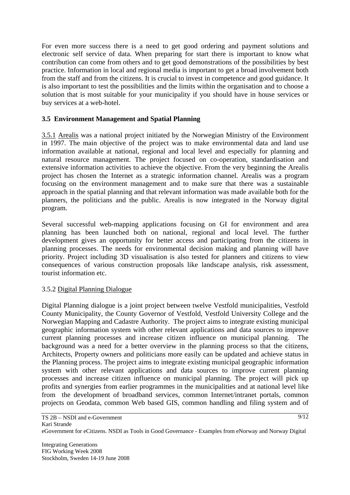For even more success there is a need to get good ordering and payment solutions and electronic self service of data. When preparing for start there is important to know what contribution can come from others and to get good demonstrations of the possibilities by best practice. Information in local and regional media is important to get a broad involvement both from the staff and from the citizens. It is crucial to invest in competence and good guidance. It is also important to test the possibilities and the limits within the organisation and to choose a solution that is most suitable for your municipality if you should have in house services or buy services at a web-hotel.

### **3.5 Environment Management and Spatial Planning**

3.5.1 Arealis was a national project initiated by the Norwegian Ministry of the Environment in 1997. The main objective of the project was to make environmental data and land use information available at national, regional and local level and especially for planning and natural resource management. The project focused on co-operation, standardisation and extensive information activities to achieve the objective. From the very beginning the Arealis project has chosen the Internet as a strategic information channel. Arealis was a program focusing on the environment management and to make sure that there was a sustainable approach in the spatial planning and that relevant information was made available both for the planners, the politicians and the public. Arealis is now integrated in the Norway digital program.

Several successful web-mapping applications focusing on GI for environment and area planning has been launched both on national, regional and local level. The further development gives an opportunity for better access and participating from the citizens in planning processes. The needs for environmental decision making and planning will have priority. Project including 3D visualisation is also tested for planners and citizens to view consequences of various construction proposals like landscape analysis, risk assessment, tourist information etc.

### 3.5.2 Digital Planning Dialogue

Digital Planning dialogue is a joint project between twelve Vestfold municipalities, Vestfold County Municipality, the County Governor of Vestfold, Vestfold University College and the Norwegian Mapping and Cadastre Authority. The project aims to integrate existing municipal geographic information system with other relevant applications and data sources to improve current planning processes and increase citizen influence on municipal planning. The background was a need for a better overview in the planning process so that the citizens, Architects, Property owners and politicians more easily can be updated and achieve status in the Planning process. The project aims to integrate existing municipal geographic information system with other relevant applications and data sources to improve current planning processes and increase citizen influence on municipal planning. The project will pick up profits and synergies from earlier programmes in the municipalities and at national level like from the development of broadband services, common Internet/intranet portals, common projects on Geodata, common Web based GIS, common handling and filing system and of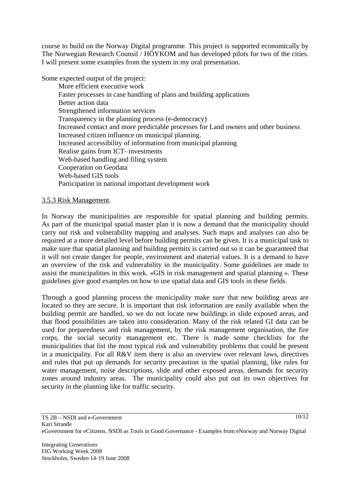course to build on the Norway Digital programme. This project is supported economically by The Norwegian Research Counsil / HÖYKOM and has developed pilots for two of the cities. I will present some examples from the system in my oral presentation.

Some expected output of the project:

More efficient executive work Faster processes in case handling of plans and building applications Better action data Strengthened information services Transparency in the planning process (e-democracy) Increased contact and more predictable processes for Land owners and other business Increased citizen influence on municipal planning. Increased accessibility of information from municipal planning Realise gains from ICT- investments Web-based handling and filing system Cooperation on Geodata Web-based GIS tools Participation in national important development work

#### 3.5.3 Risk Management.

In Norway the municipalities are responsible for spatial planning and building permits. As part of the municipal spatial master plan it is now a demand that the municipality should carry out risk and vulnerability mapping and analyses. Such maps and analyses can also be required at a more detailed level before building permits can be given. It is a municipal task to make sure that spatial planning and building permits is carried out so it can be guaranteed that it will not create danger for people, environment and material values. It is a demand to have an overview of the risk and vulnerability in the municipality. Some guidelines are made to assist the municipalities in this work. «GIS in risk management and spatial planning ». These guidelines give good examples on how to use spatial data and GIS tools in these fields.

Through a good planning process the municipality make sure that new building areas are located so they are secure. It is important that risk information are easily available when the building permit are handled, so we do not locate new buildings in slide exposed areas, and that flood possibilities are taken into consideration. Many of the risk related GI data can be used for preparedness and risk management, by the risk management organisation, the fire corps, the social security management etc. There is made some checklists for the municipalities that list the most typical risk and vulnerability problems that could be present in a municipality. For all R&V item there is also an overview over relevant laws, directives and rules that put up demands for security precaution in the spatial planning, like rules for water management, noise descriptions, slide and other exposed areas, demands for security zones around industry areas. The municipality could also put out its own objectives for security in the planning like for traffic security.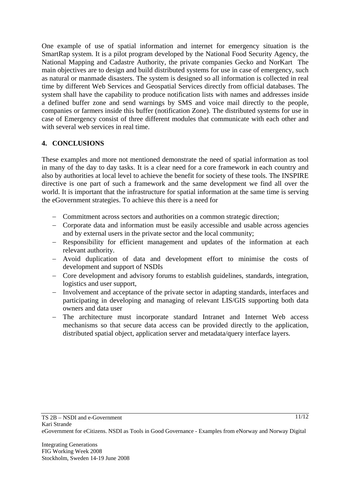One example of use of spatial information and internet for emergency situation is the SmartRap system. It is a pilot program developed by the National Food Security Agency, the National Mapping and Cadastre Authority, the private companies Gecko and NorKart The main objectives are to design and build distributed systems for use in case of emergency, such as natural or manmade disasters. The system is designed so all information is collected in real time by different Web Services and Geospatial Services directly from official databases. The system shall have the capability to produce notification lists with names and addresses inside a defined buffer zone and send warnings by SMS and voice mail directly to the people, companies or farmers inside this buffer (notification Zone). The distributed systems for use in case of Emergency consist of three different modules that communicate with each other and with several web services in real time.

## **4. CONCLUSIONS**

These examples and more not mentioned demonstrate the need of spatial information as tool in many of the day to day tasks. It is a clear need for a core framework in each country and also by authorities at local level to achieve the benefit for society of these tools. The INSPIRE directive is one part of such a framework and the same development we find all over the world. It is important that the infrastructure for spatial information at the same time is serving the eGovernment strategies. To achieve this there is a need for

- − Commitment across sectors and authorities on a common strategic direction;
- − Corporate data and information must be easily accessible and usable across agencies and by external users in the private sector and the local community;
- − Responsibility for efficient management and updates of the information at each relevant authority.
- − Avoid duplication of data and development effort to minimise the costs of development and support of NSDIs
- − Core development and advisory forums to establish guidelines, standards, integration, logistics and user support,
- − Involvement and acceptance of the private sector in adapting standards, interfaces and participating in developing and managing of relevant LIS/GIS supporting both data owners and data user
- − The architecture must incorporate standard Intranet and Internet Web access mechanisms so that secure data access can be provided directly to the application, distributed spatial object, application server and metadata/query interface layers.

 $11/12$